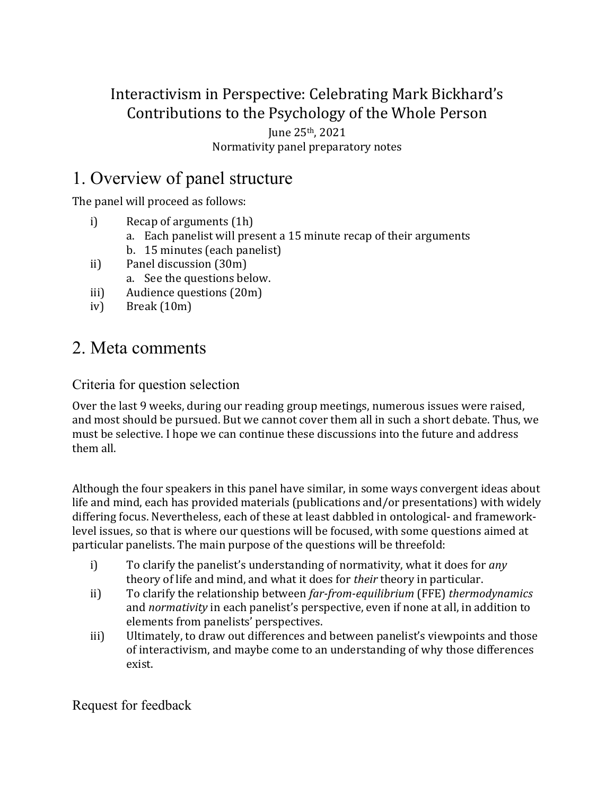# Interactivism in Perspective: Celebrating Mark Bickhard's Contributions to the Psychology of the Whole Person

June 25th, 2021

## Normativity panel preparatory notes

# 1. Overview of panel structure

The panel will proceed as follows:

- i) Recap of arguments (1h)
	- a. Each panelist will present a 15 minute recap of their arguments
	- b. 15 minutes (each panelist)
- ii) Panel discussion (30m)
	- a. See the questions below.
- iii) Audience questions (20m)<br>iv) Break (10m)
- Break (10m)

## 2. Meta comments

### Criteria for question selection

Over the last 9 weeks, during our reading group meetings, numerous issues were raised, and most should be pursued. But we cannot cover them all in such a short debate. Thus, we must be selective. I hope we can continue these discussions into the future and address them all.

Although the four speakers in this panel have similar, in some ways convergent ideas about life and mind, each has provided materials (publications and/or presentations) with widely differing focus. Nevertheless, each of these at least dabbled in ontological- and frameworklevel issues, so that is where our questions will be focused, with some questions aimed at particular panelists. The main purpose of the questions will be threefold:

- i) To clarify the panelist's understanding of normativity, what it does for *any* theory of life and mind, and what it does for *their* theory in particular.
- ii) To clarify the relationship between *far-from-equilibrium* (FFE) *thermodynamics* and *normativity* in each panelist's perspective, even if none at all, in addition to elements from panelists' perspectives.
- iii) Ultimately, to draw out differences and between panelist's viewpoints and those of interactivism, and maybe come to an understanding of why those differences exist.

Request for feedback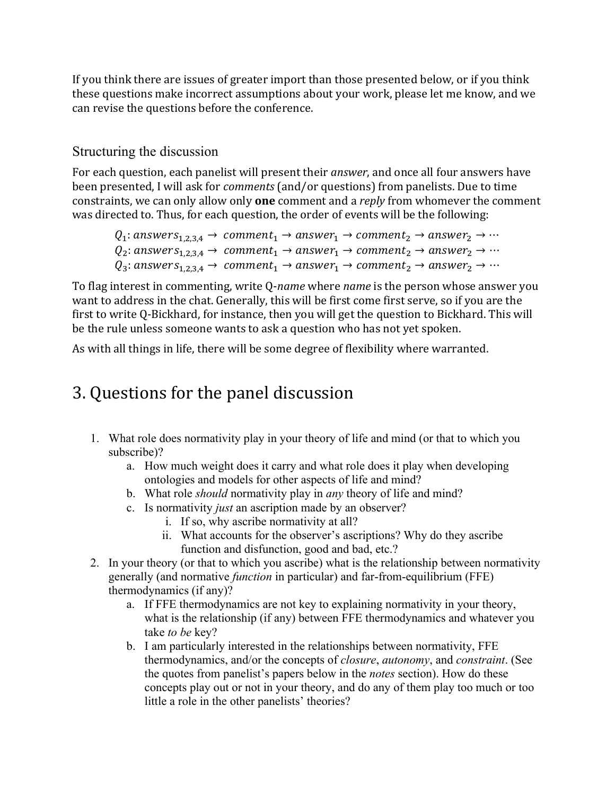If you think there are issues of greater import than those presented below, or if you think these questions make incorrect assumptions about your work, please let me know, and we can revise the questions before the conference.

## Structuring the discussion

For each question, each panelist will present their *answer*, and once all four answers have been presented, I will ask for *comments* (and/or questions) from panelists. Due to time constraints, we can only allow only **one** comment and a *reply* from whomever the comment was directed to. Thus, for each question, the order of events will be the following:

```
Q_1: answers_{1,2,3,4} \rightarrow comment_1 \rightarrow answer_1 \rightarrow comment_2 \rightarrow answer_2 \rightarrow \cdotsQ_2: answers<sub>1,2,3,4</sub> \rightarrow comment<sub>1</sub> \rightarrow answer<sub>1</sub> \rightarrow comment<sub>2</sub> \rightarrow answer<sub>2</sub> \rightarrow …
Q_3: answers<sub>1,2,3,4</sub> \rightarrow comment<sub>1</sub> \rightarrow answer<sub>1</sub> \rightarrow comment<sub>2</sub> \rightarrow answer<sub>2</sub> \rightarrow ...
```
To flag interest in commenting, write Q-*name* where *name* is the person whose answer you want to address in the chat. Generally, this will be first come first serve, so if you are the first to write Q-Bickhard, for instance, then you will get the question to Bickhard. This will be the rule unless someone wants to ask a question who has not yet spoken.

As with all things in life, there will be some degree of flexibility where warranted.

# 3. Questions for the panel discussion

- 1. What role does normativity play in your theory of life and mind (or that to which you subscribe)?
	- a. How much weight does it carry and what role does it play when developing ontologies and models for other aspects of life and mind?
	- b. What role *should* normativity play in *any* theory of life and mind?
	- c. Is normativity *just* an ascription made by an observer?
		- i. If so, why ascribe normativity at all?
		- ii. What accounts for the observer's ascriptions? Why do they ascribe function and disfunction, good and bad, etc.?
- 2. In your theory (or that to which you ascribe) what is the relationship between normativity generally (and normative *function* in particular) and far-from-equilibrium (FFE) thermodynamics (if any)?
	- a. If FFE thermodynamics are not key to explaining normativity in your theory, what is the relationship (if any) between FFE thermodynamics and whatever you take *to be* key?
	- b. I am particularly interested in the relationships between normativity, FFE thermodynamics, and/or the concepts of *closure*, *autonomy*, and *constraint*. (See the quotes from panelist's papers below in the *notes* section). How do these concepts play out or not in your theory, and do any of them play too much or too little a role in the other panelists' theories?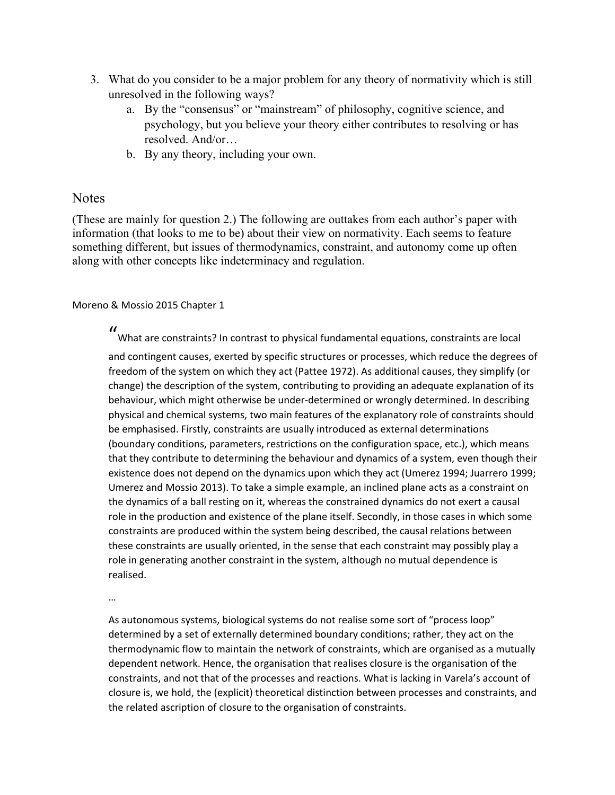- 3. What do you consider to be a major problem for any theory of normativity which is still unresolved in the following ways?
	- a. By the "consensus" or "mainstream" of philosophy, cognitive science, and psychology, but you believe your theory either contributes to resolving or has resolved. And/or…
	- b. By any theory, including your own.

### **Notes**

(These are mainly for question 2.) The following are outtakes from each author's paper with information (that looks to me to be) about their view on normativity. Each seems to feature something different, but issues of thermodynamics, constraint, and autonomy come up often along with other concepts like indeterminacy and regulation.

### Moreno & Mossio 2015 Chapter 1

 $\mathcal{U}$ What are constraints? In contrast to physical fundamental equations, constraints are local and contingent causes, exerted by specific structures or processes, which reduce the degrees of freedom of the system on which they act (Pattee 1972). As additional causes, they simplify (or change) the description of the system, contributing to providing an adequate explanation of its behaviour, which might otherwise be under-determined or wrongly determined. In describing physical and chemical systems, two main features of the explanatory role of constraints should be emphasised. Firstly, constraints are usually introduced as external determinations (boundary conditions, parameters, restrictions on the configuration space, etc.), which means that they contribute to determining the behaviour and dynamics of a system, even though their existence does not depend on the dynamics upon which they act (Umerez 1994; Juarrero 1999; Umerez and Mossio 2013). To take a simple example, an inclined plane acts as a constraint on the dynamics of a ball resting on it, whereas the constrained dynamics do not exert a causal role in the production and existence of the plane itself. Secondly, in those cases in which some constraints are produced within the system being described, the causal relations between these constraints are usually oriented, in the sense that each constraint may possibly play a role in generating another constraint in the system, although no mutual dependence is realised.

…

As autonomous systems, biological systems do not realise some sort of "process loop" determined by a set of externally determined boundary conditions; rather, they act on the thermodynamic flow to maintain the network of constraints, which are organised as a mutually dependent network. Hence, the organisation that realises closure is the organisation of the constraints, and not that of the processes and reactions. What is lacking in Varela's account of closure is, we hold, the (explicit) theoretical distinction between processes and constraints, and the related ascription of closure to the organisation of constraints.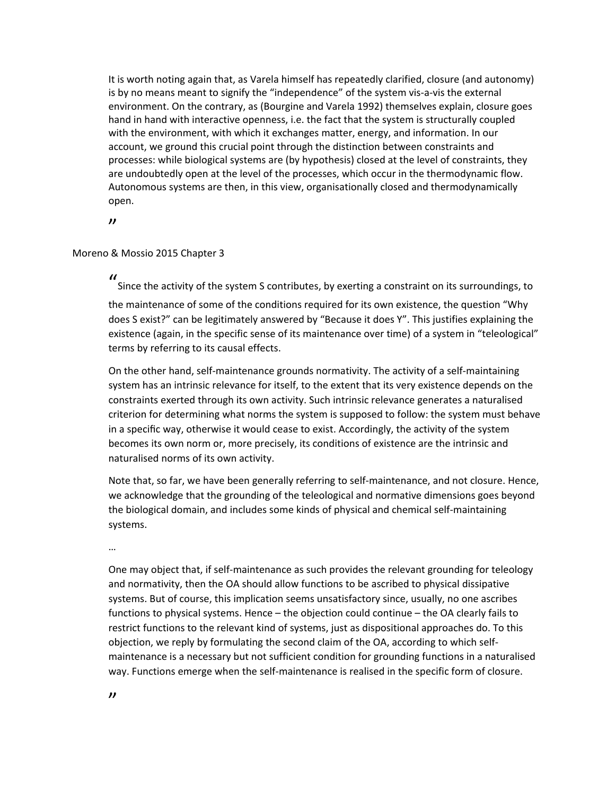It is worth noting again that, as Varela himself has repeatedly clarified, closure (and autonomy) is by no means meant to signify the "independence" of the system vis-a-vis the external environment. On the contrary, as (Bourgine and Varela 1992) themselves explain, closure goes hand in hand with interactive openness, i.e. the fact that the system is structurally coupled with the environment, with which it exchanges matter, energy, and information. In our account, we ground this crucial point through the distinction between constraints and processes: while biological systems are (by hypothesis) closed at the level of constraints, they are undoubtedly open at the level of the processes, which occur in the thermodynamic flow. Autonomous systems are then, in this view, organisationally closed and thermodynamically open.

 $\boldsymbol{\eta}$ 

#### Moreno & Mossio 2015 Chapter 3

"

Since the activity of the system S contributes, by exerting a constraint on its surroundings, to the maintenance of some of the conditions required for its own existence, the question "Why does S exist?" can be legitimately answered by "Because it does Y". This justifies explaining the existence (again, in the specific sense of its maintenance over time) of a system in "teleological" terms by referring to its causal effects.

On the other hand, self-maintenance grounds normativity. The activity of a self-maintaining system has an intrinsic relevance for itself, to the extent that its very existence depends on the constraints exerted through its own activity. Such intrinsic relevance generates a naturalised criterion for determining what norms the system is supposed to follow: the system must behave in a specific way, otherwise it would cease to exist. Accordingly, the activity of the system becomes its own norm or, more precisely, its conditions of existence are the intrinsic and naturalised norms of its own activity.

Note that, so far, we have been generally referring to self-maintenance, and not closure. Hence, we acknowledge that the grounding of the teleological and normative dimensions goes beyond the biological domain, and includes some kinds of physical and chemical self-maintaining systems.

…

One may object that, if self-maintenance as such provides the relevant grounding for teleology and normativity, then the OA should allow functions to be ascribed to physical dissipative systems. But of course, this implication seems unsatisfactory since, usually, no one ascribes functions to physical systems. Hence – the objection could continue – the OA clearly fails to restrict functions to the relevant kind of systems, just as dispositional approaches do. To this objection, we reply by formulating the second claim of the OA, according to which selfmaintenance is a necessary but not sufficient condition for grounding functions in a naturalised way. Functions emerge when the self-maintenance is realised in the specific form of closure.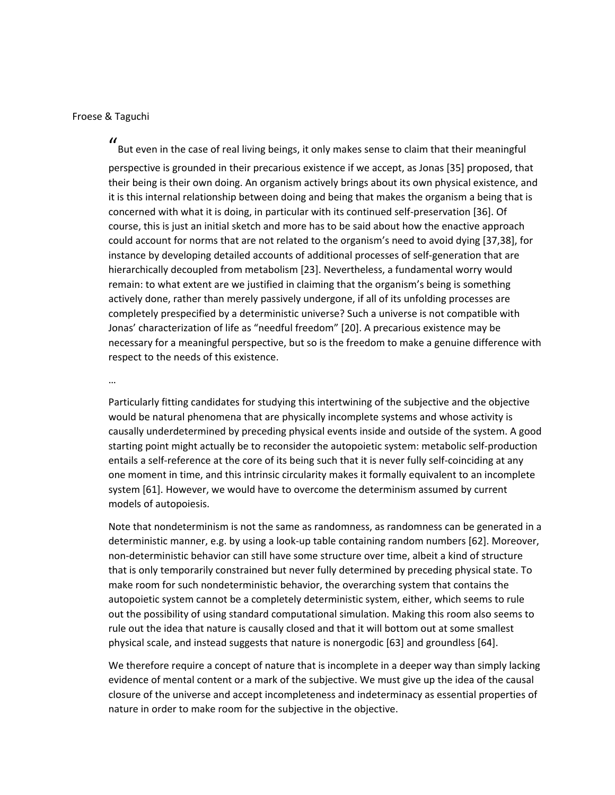#### Froese & Taguchi

 $\prime$ 

But even in the case of real living beings, it only makes sense to claim that their meaningful perspective is grounded in their precarious existence if we accept, as Jonas [35] proposed, that their being is their own doing. An organism actively brings about its own physical existence, and it is this internal relationship between doing and being that makes the organism a being that is concerned with what it is doing, in particular with its continued self-preservation [36]. Of course, this is just an initial sketch and more has to be said about how the enactive approach could account for norms that are not related to the organism's need to avoid dying [37,38], for instance by developing detailed accounts of additional processes of self-generation that are hierarchically decoupled from metabolism [23]. Nevertheless, a fundamental worry would remain: to what extent are we justified in claiming that the organism's being is something actively done, rather than merely passively undergone, if all of its unfolding processes are completely prespecified by a deterministic universe? Such a universe is not compatible with Jonas' characterization of life as "needful freedom" [20]. A precarious existence may be necessary for a meaningful perspective, but so is the freedom to make a genuine difference with respect to the needs of this existence.

…

Particularly fitting candidates for studying this intertwining of the subjective and the objective would be natural phenomena that are physically incomplete systems and whose activity is causally underdetermined by preceding physical events inside and outside of the system. A good starting point might actually be to reconsider the autopoietic system: metabolic self-production entails a self-reference at the core of its being such that it is never fully self-coinciding at any one moment in time, and this intrinsic circularity makes it formally equivalent to an incomplete system [61]. However, we would have to overcome the determinism assumed by current models of autopoiesis.

Note that nondeterminism is not the same as randomness, as randomness can be generated in a deterministic manner, e.g. by using a look-up table containing random numbers [62]. Moreover, non-deterministic behavior can still have some structure over time, albeit a kind of structure that is only temporarily constrained but never fully determined by preceding physical state. To make room for such nondeterministic behavior, the overarching system that contains the autopoietic system cannot be a completely deterministic system, either, which seems to rule out the possibility of using standard computational simulation. Making this room also seems to rule out the idea that nature is causally closed and that it will bottom out at some smallest physical scale, and instead suggests that nature is nonergodic [63] and groundless [64].

We therefore require a concept of nature that is incomplete in a deeper way than simply lacking evidence of mental content or a mark of the subjective. We must give up the idea of the causal closure of the universe and accept incompleteness and indeterminacy as essential properties of nature in order to make room for the subjective in the objective.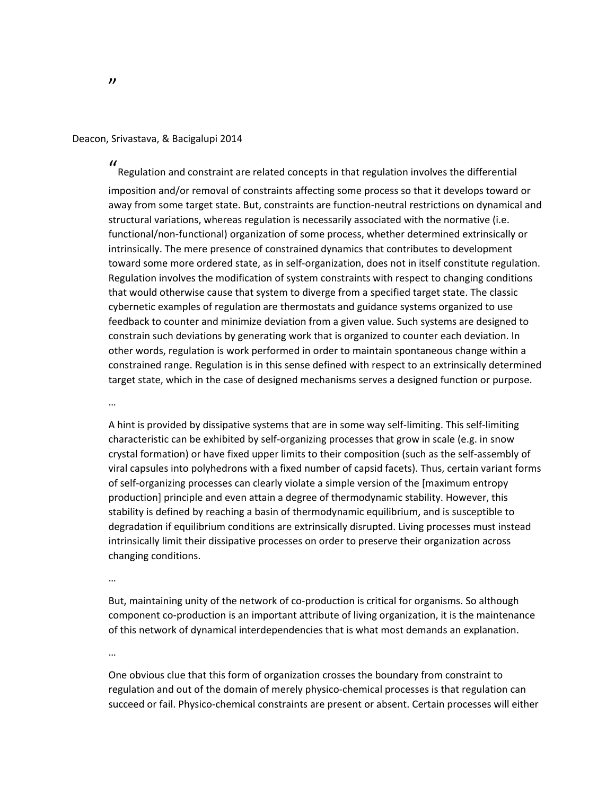#### Deacon, Srivastava, & Bacigalupi 2014

 $\mathcal{U}$ Regulation and constraint are related concepts in that regulation involves the differential imposition and/or removal of constraints affecting some process so that it develops toward or away from some target state. But, constraints are function-neutral restrictions on dynamical and structural variations, whereas regulation is necessarily associated with the normative (i.e. functional/non-functional) organization of some process, whether determined extrinsically or intrinsically. The mere presence of constrained dynamics that contributes to development toward some more ordered state, as in self-organization, does not in itself constitute regulation. Regulation involves the modification of system constraints with respect to changing conditions that would otherwise cause that system to diverge from a specified target state. The classic cybernetic examples of regulation are thermostats and guidance systems organized to use feedback to counter and minimize deviation from a given value. Such systems are designed to constrain such deviations by generating work that is organized to counter each deviation. In other words, regulation is work performed in order to maintain spontaneous change within a constrained range. Regulation is in this sense defined with respect to an extrinsically determined target state, which in the case of designed mechanisms serves a designed function or purpose.

…

A hint is provided by dissipative systems that are in some way self-limiting. This self-limiting characteristic can be exhibited by self-organizing processes that grow in scale (e.g. in snow crystal formation) or have fixed upper limits to their composition (such as the self-assembly of viral capsules into polyhedrons with a fixed number of capsid facets). Thus, certain variant forms of self-organizing processes can clearly violate a simple version of the [maximum entropy production] principle and even attain a degree of thermodynamic stability. However, this stability is defined by reaching a basin of thermodynamic equilibrium, and is susceptible to degradation if equilibrium conditions are extrinsically disrupted. Living processes must instead intrinsically limit their dissipative processes on order to preserve their organization across changing conditions.

…

But, maintaining unity of the network of co-production is critical for organisms. So although component co-production is an important attribute of living organization, it is the maintenance of this network of dynamical interdependencies that is what most demands an explanation.

…

One obvious clue that this form of organization crosses the boundary from constraint to regulation and out of the domain of merely physico-chemical processes is that regulation can succeed or fail. Physico-chemical constraints are present or absent. Certain processes will either

 $\boldsymbol{\eta}$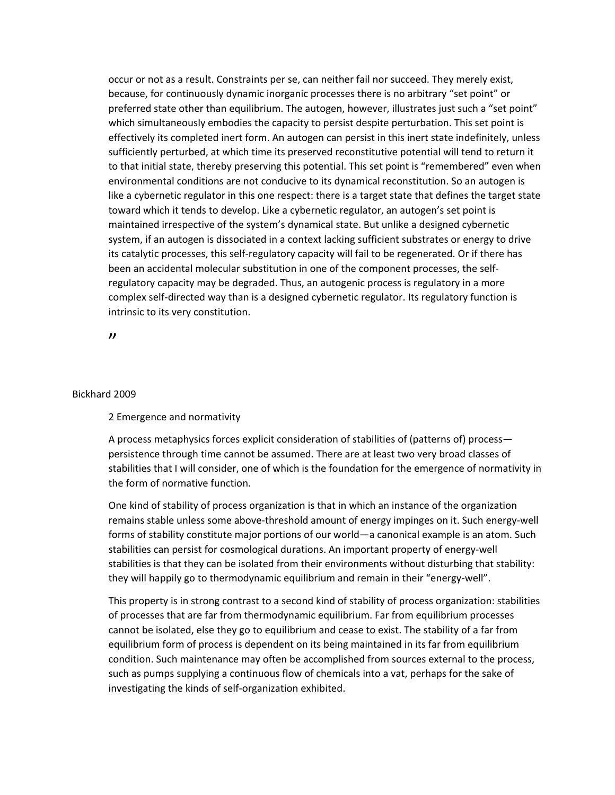occur or not as a result. Constraints per se, can neither fail nor succeed. They merely exist, because, for continuously dynamic inorganic processes there is no arbitrary "set point" or preferred state other than equilibrium. The autogen, however, illustrates just such a "set point" which simultaneously embodies the capacity to persist despite perturbation. This set point is effectively its completed inert form. An autogen can persist in this inert state indefinitely, unless sufficiently perturbed, at which time its preserved reconstitutive potential will tend to return it to that initial state, thereby preserving this potential. This set point is "remembered" even when environmental conditions are not conducive to its dynamical reconstitution. So an autogen is like a cybernetic regulator in this one respect: there is a target state that defines the target state toward which it tends to develop. Like a cybernetic regulator, an autogen's set point is maintained irrespective of the system's dynamical state. But unlike a designed cybernetic system, if an autogen is dissociated in a context lacking sufficient substrates or energy to drive its catalytic processes, this self-regulatory capacity will fail to be regenerated. Or if there has been an accidental molecular substitution in one of the component processes, the selfregulatory capacity may be degraded. Thus, an autogenic process is regulatory in a more complex self-directed way than is a designed cybernetic regulator. Its regulatory function is intrinsic to its very constitution.

 $\boldsymbol{\eta}$ 

#### Bickhard 2009

#### 2 Emergence and normativity

A process metaphysics forces explicit consideration of stabilities of (patterns of) process persistence through time cannot be assumed. There are at least two very broad classes of stabilities that I will consider, one of which is the foundation for the emergence of normativity in the form of normative function.

One kind of stability of process organization is that in which an instance of the organization remains stable unless some above-threshold amount of energy impinges on it. Such energy-well forms of stability constitute major portions of our world—a canonical example is an atom. Such stabilities can persist for cosmological durations. An important property of energy-well stabilities is that they can be isolated from their environments without disturbing that stability: they will happily go to thermodynamic equilibrium and remain in their "energy-well".

This property is in strong contrast to a second kind of stability of process organization: stabilities of processes that are far from thermodynamic equilibrium. Far from equilibrium processes cannot be isolated, else they go to equilibrium and cease to exist. The stability of a far from equilibrium form of process is dependent on its being maintained in its far from equilibrium condition. Such maintenance may often be accomplished from sources external to the process, such as pumps supplying a continuous flow of chemicals into a vat, perhaps for the sake of investigating the kinds of self-organization exhibited.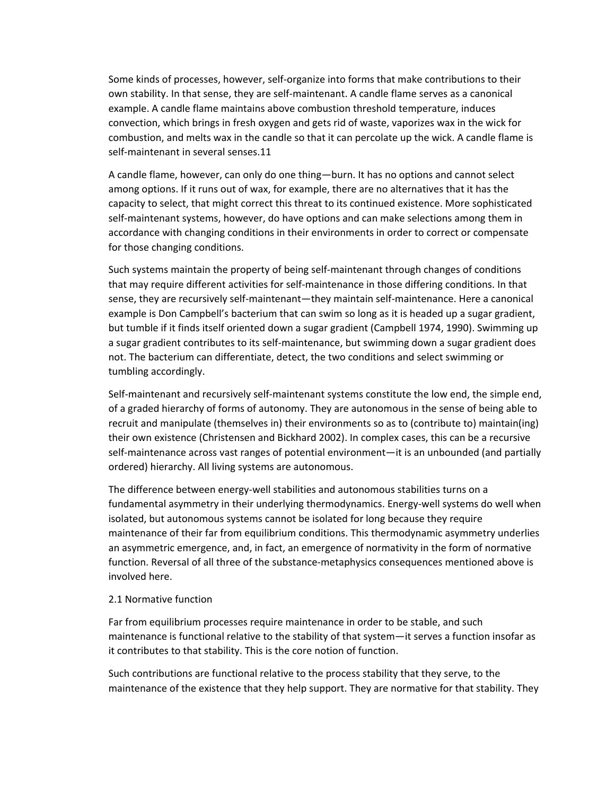Some kinds of processes, however, self-organize into forms that make contributions to their own stability. In that sense, they are self-maintenant. A candle flame serves as a canonical example. A candle flame maintains above combustion threshold temperature, induces convection, which brings in fresh oxygen and gets rid of waste, vaporizes wax in the wick for combustion, and melts wax in the candle so that it can percolate up the wick. A candle flame is self-maintenant in several senses.11

A candle flame, however, can only do one thing—burn. It has no options and cannot select among options. If it runs out of wax, for example, there are no alternatives that it has the capacity to select, that might correct this threat to its continued existence. More sophisticated self-maintenant systems, however, do have options and can make selections among them in accordance with changing conditions in their environments in order to correct or compensate for those changing conditions.

Such systems maintain the property of being self-maintenant through changes of conditions that may require different activities for self-maintenance in those differing conditions. In that sense, they are recursively self-maintenant—they maintain self-maintenance. Here a canonical example is Don Campbell's bacterium that can swim so long as it is headed up a sugar gradient, but tumble if it finds itself oriented down a sugar gradient (Campbell 1974, 1990). Swimming up a sugar gradient contributes to its self-maintenance, but swimming down a sugar gradient does not. The bacterium can differentiate, detect, the two conditions and select swimming or tumbling accordingly.

Self-maintenant and recursively self-maintenant systems constitute the low end, the simple end, of a graded hierarchy of forms of autonomy. They are autonomous in the sense of being able to recruit and manipulate (themselves in) their environments so as to (contribute to) maintain(ing) their own existence (Christensen and Bickhard 2002). In complex cases, this can be a recursive self-maintenance across vast ranges of potential environment—it is an unbounded (and partially ordered) hierarchy. All living systems are autonomous.

The difference between energy-well stabilities and autonomous stabilities turns on a fundamental asymmetry in their underlying thermodynamics. Energy-well systems do well when isolated, but autonomous systems cannot be isolated for long because they require maintenance of their far from equilibrium conditions. This thermodynamic asymmetry underlies an asymmetric emergence, and, in fact, an emergence of normativity in the form of normative function. Reversal of all three of the substance-metaphysics consequences mentioned above is involved here.

#### 2.1 Normative function

Far from equilibrium processes require maintenance in order to be stable, and such maintenance is functional relative to the stability of that system—it serves a function insofar as it contributes to that stability. This is the core notion of function.

Such contributions are functional relative to the process stability that they serve, to the maintenance of the existence that they help support. They are normative for that stability. They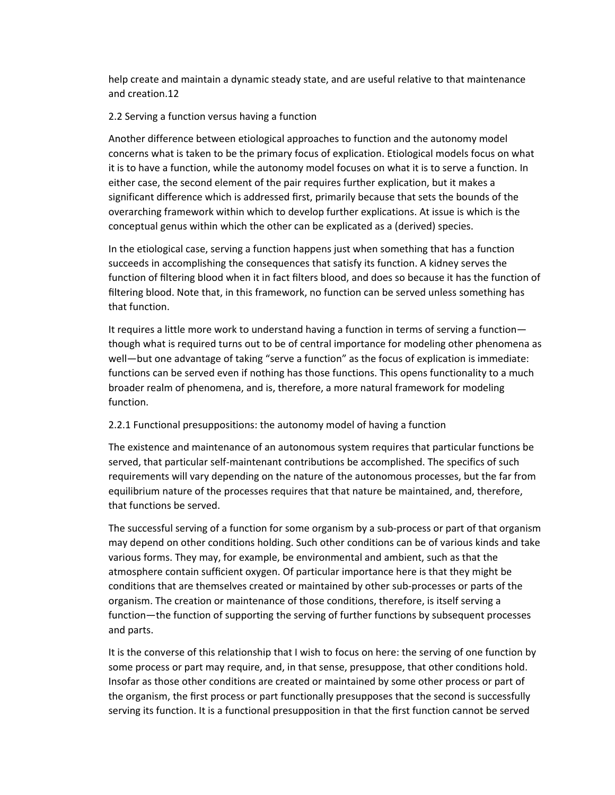help create and maintain a dynamic steady state, and are useful relative to that maintenance and creation.12

#### 2.2 Serving a function versus having a function

Another difference between etiological approaches to function and the autonomy model concerns what is taken to be the primary focus of explication. Etiological models focus on what it is to have a function, while the autonomy model focuses on what it is to serve a function. In either case, the second element of the pair requires further explication, but it makes a significant difference which is addressed first, primarily because that sets the bounds of the overarching framework within which to develop further explications. At issue is which is the conceptual genus within which the other can be explicated as a (derived) species.

In the etiological case, serving a function happens just when something that has a function succeeds in accomplishing the consequences that satisfy its function. A kidney serves the function of filtering blood when it in fact filters blood, and does so because it has the function of filtering blood. Note that, in this framework, no function can be served unless something has that function.

It requires a little more work to understand having a function in terms of serving a function though what is required turns out to be of central importance for modeling other phenomena as well—but one advantage of taking "serve a function" as the focus of explication is immediate: functions can be served even if nothing has those functions. This opens functionality to a much broader realm of phenomena, and is, therefore, a more natural framework for modeling function.

### 2.2.1 Functional presuppositions: the autonomy model of having a function

The existence and maintenance of an autonomous system requires that particular functions be served, that particular self-maintenant contributions be accomplished. The specifics of such requirements will vary depending on the nature of the autonomous processes, but the far from equilibrium nature of the processes requires that that nature be maintained, and, therefore, that functions be served.

The successful serving of a function for some organism by a sub-process or part of that organism may depend on other conditions holding. Such other conditions can be of various kinds and take various forms. They may, for example, be environmental and ambient, such as that the atmosphere contain sufficient oxygen. Of particular importance here is that they might be conditions that are themselves created or maintained by other sub-processes or parts of the organism. The creation or maintenance of those conditions, therefore, is itself serving a function—the function of supporting the serving of further functions by subsequent processes and parts.

It is the converse of this relationship that I wish to focus on here: the serving of one function by some process or part may require, and, in that sense, presuppose, that other conditions hold. Insofar as those other conditions are created or maintained by some other process or part of the organism, the first process or part functionally presupposes that the second is successfully serving its function. It is a functional presupposition in that the first function cannot be served